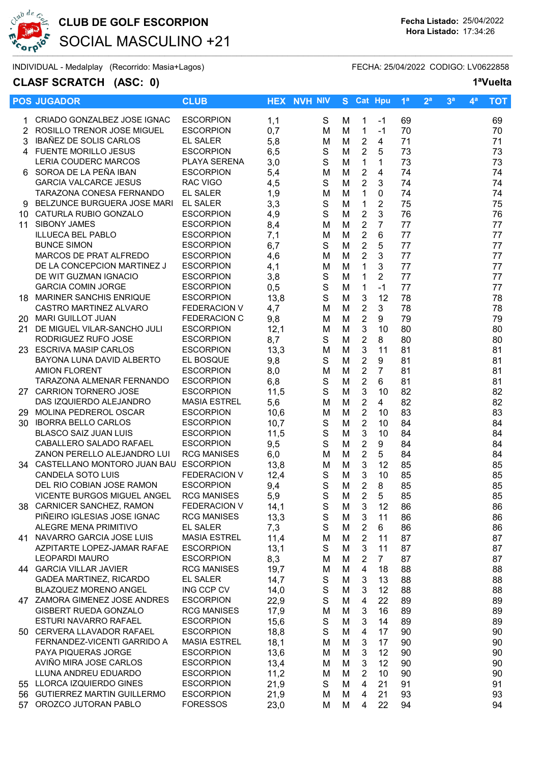

# CLUB DE GOLF ESCORPION Fecha Listado: 25/04/2022 SOCIAL MASCULINO +21

INDIVIDUAL - Medalplay (Recorrido: Masia+Lagos) FECHA: 25/04/2022 CODIGO: LV0622858

## CLASF SCRATCH (ASC: 0) 1<sup>a</sup>Vuelta

|    | <b>POS JUGADOR</b>                                   | <b>CLUB</b>                          |             | <b>HEX NVH NIV</b>         |        | S Cat Hpu                   |                        | 1 <sup>a</sup> | 2 <sup>a</sup> | 3 <sup>a</sup> | $\mathbf{4}^{\mathsf{a}}$ | <b>TOT</b> |
|----|------------------------------------------------------|--------------------------------------|-------------|----------------------------|--------|-----------------------------|------------------------|----------------|----------------|----------------|---------------------------|------------|
|    | 1 CRIADO GONZALBEZ JOSE IGNAC                        | <b>ESCORPION</b>                     | 1,1         | S                          | м      | $\mathbf{1}$                | -1                     | 69             |                |                |                           | 69         |
|    | 2 ROSILLO TRENOR JOSE MIGUEL                         | <b>ESCORPION</b>                     | 0,7         | м                          | M      | $\mathbf{1}$                | $-1$                   | 70             |                |                |                           | 70         |
| 3  | IBAÑEZ DE SOLIS CARLOS                               | <b>EL SALER</b>                      | 5,8         | M                          | М      | $\overline{2}$              | 4                      | 71             |                |                |                           | 71         |
|    | 4 FUENTE MORILLO JESUS                               | <b>ESCORPION</b>                     | 6,5         | $\mathsf S$                | M      | $\overline{2}$              | 5                      | 73             |                |                |                           | 73         |
|    | LERIA COUDERC MARCOS                                 | PLAYA SERENA                         | 3,0         | S                          | M      | $\mathbf{1}$                | $\mathbf{1}$           | 73             |                |                |                           | 73         |
|    | 6 SOROA DE LA PEÑA IBAN                              | <b>ESCORPION</b>                     | 5,4         | M                          | M      | $\boldsymbol{2}$            | $\overline{4}$         | 74             |                |                |                           | 74         |
|    | <b>GARCIA VALCARCE JESUS</b>                         | <b>RAC VIGO</b>                      | 4,5         | S                          | M      | $\overline{2}$              | $\mathfrak{B}$         | 74             |                |                |                           | 74         |
|    | TARAZONA CONESA FERNANDO                             | <b>EL SALER</b>                      | 1,9         | M                          | M      | $\mathbf{1}$                | $\mathbf 0$            | 74             |                |                |                           | 74         |
|    | 9 BELZUNCE BURGUERA JOSE MARI EL SALER               |                                      | 3,3         | $\mathbf S$                | M      | $\mathbf{1}$                | $\overline{2}$         | 75             |                |                |                           | 75         |
|    | 10 CATURLA RUBIO GONZALO                             | <b>ESCORPION</b>                     | 4,9         | $\mathsf S$                | M      | $\overline{2}$              | 3                      | 76             |                |                |                           | 76         |
| 11 | <b>SIBONY JAMES</b>                                  | <b>ESCORPION</b>                     | 8,4         | M                          | M      | $\overline{2}$              | $\overline{7}$         | 77             |                |                |                           | 77         |
|    | <b>ILLUECA BEL PABLO</b>                             | <b>ESCORPION</b>                     | 7,1         | M                          | M      | $\overline{2}$              | 6                      | 77             |                |                |                           | 77         |
|    | <b>BUNCE SIMON</b>                                   | <b>ESCORPION</b>                     | 6,7         | S                          | M      | $\overline{2}$              | 5                      | 77             |                |                |                           | 77         |
|    | MARCOS DE PRAT ALFREDO                               | <b>ESCORPION</b>                     | 4,6         | M                          | M      | $\overline{2}$              | 3                      | 77             |                |                |                           | 77         |
|    | DE LA CONCEPCION MARTINEZ J<br>DE WIT GUZMAN IGNACIO | <b>ESCORPION</b>                     | 4,1         | M                          | M      | $\mathbf{1}$                | 3                      | 77             |                |                |                           | 77         |
|    | <b>GARCIA COMIN JORGE</b>                            | <b>ESCORPION</b><br><b>ESCORPION</b> | 3,8         | $\mathbb S$<br>$\mathsf S$ | M<br>M | $\mathbf{1}$<br>$\mathbf 1$ | $\overline{2}$<br>$-1$ | 77<br>77       |                |                |                           | 77<br>77   |
|    | 18 MARINER SANCHIS ENRIQUE                           | <b>ESCORPION</b>                     | 0,5<br>13,8 | $\mathbf S$                | M      | $\mathbf{3}$                | 12                     | 78             |                |                |                           | 78         |
|    | CASTRO MARTINEZ ALVARO                               | FEDERACION V                         | 4,7         | M                          | M      | $\overline{2}$              | 3                      | 78             |                |                |                           | 78         |
|    | 20 MARI GUILLOT JUAN                                 | <b>FEDERACION C</b>                  | 9,8         | M                          | M      | $\boldsymbol{2}$            | 9                      | 79             |                |                |                           | 79         |
|    | 21 DE MIGUEL VILAR-SANCHO JULI                       | <b>ESCORPION</b>                     | 12,1        | M                          | M      | $\mathbf{3}$                | 10                     | 80             |                |                |                           | 80         |
|    | RODRIGUEZ RUFO JOSE                                  | <b>ESCORPION</b>                     | 8,7         | S                          | M      | $\sqrt{2}$                  | 8                      | 80             |                |                |                           | 80         |
|    | 23 ESCRIVA MASIP CARLOS                              | <b>ESCORPION</b>                     | 13,3        | M                          | M      | 3                           | 11                     | 81             |                |                |                           | 81         |
|    | BAYONA LUNA DAVID ALBERTO                            | EL BOSQUE                            | 9,8         | S                          | M      | $\overline{2}$              | 9                      | 81             |                |                |                           | 81         |
|    | <b>AMION FLORENT</b>                                 | <b>ESCORPION</b>                     | 8,0         | M                          | M      | $\overline{2}$              | $\overline{7}$         | 81             |                |                |                           | 81         |
|    | TARAZONA ALMENAR FERNANDO                            | <b>ESCORPION</b>                     | 6,8         | S                          | M      | $\overline{2}$              | 6                      | 81             |                |                |                           | 81         |
|    | 27 CARRION TORNERO JOSE                              | <b>ESCORPION</b>                     | 11,5        | S                          | M      | 3                           | 10                     | 82             |                |                |                           | 82         |
|    | DAS IZQUIERDO ALEJANDRO                              | <b>MASIA ESTREL</b>                  | 5,6         | M                          | M      | $\overline{2}$              | 4                      | 82             |                |                |                           | 82         |
|    | 29 MOLINA PEDREROL OSCAR                             | <b>ESCORPION</b>                     | 10,6        | M                          | M      | $\overline{2}$              | 10                     | 83             |                |                |                           | 83         |
|    | 30 IBORRA BELLO CARLOS                               | <b>ESCORPION</b>                     | 10,7        | S                          | M      | $\overline{2}$              | 10                     | 84             |                |                |                           | 84         |
|    | <b>BLASCO SAIZ JUAN LUIS</b>                         | <b>ESCORPION</b>                     | 11,5        | $\mathsf S$                | M      | $\mathbf{3}$                | 10                     | 84             |                |                |                           | 84         |
|    | CABALLERO SALADO RAFAEL                              | <b>ESCORPION</b>                     | 9,5         | $\mathsf S$                | M      | $\sqrt{2}$                  | 9                      | 84             |                |                |                           | 84         |
|    | ZANON PERELLO ALEJANDRO LUI                          | <b>RCG MANISES</b>                   | 6,0         | M                          | M      | $\overline{2}$              | 5                      | 84             |                |                |                           | 84         |
|    | 34 CASTELLANO MONTORO JUAN BAU ESCORPION             |                                      | 13,8        | M                          | M      | $\mathbf{3}$                | 12                     | 85             |                |                |                           | 85         |
|    | <b>CANDELA SOTO LUIS</b>                             | <b>FEDERACION V</b>                  | 12,4        | S                          | M      | $\mathbf{3}$                | 10                     | 85             |                |                |                           | 85         |
|    | DEL RIO COBIAN JOSE RAMON                            | <b>ESCORPION</b>                     | 9,4         | $\mathbf S$                | M      | $\overline{2}$              | 8                      | 85             |                |                |                           | 85         |
|    | VICENTE BURGOS MIGUEL ANGEL                          | <b>RCG MANISES</b>                   | 5,9         | S                          | M      | $\overline{2}$              | 5                      | 85             |                |                |                           | 85         |
|    | 38 CARNICER SANCHEZ, RAMON                           | <b>FEDERACION V</b>                  | 14,1        | S                          | M      | 3                           | 12                     | 86             |                |                |                           | 86         |
|    | PIÑEIRO IGLESIAS JOSE IGNAC<br>ALEGRE MENA PRIMITIVO | <b>RCG MANISES</b>                   | 13,3        | S                          | M      | 3                           | 11                     | 86             |                |                |                           | 86         |
|    | 41 NAVARRO GARCIA JOSE LUIS                          | EL SALER<br><b>MASIA ESTREL</b>      | 7,3<br>11,4 | S                          | М      | $\overline{2}$              | 6                      | 86             |                |                |                           | 86         |
|    | AZPITARTE LOPEZ-JAMAR RAFAE                          | <b>ESCORPION</b>                     | 13,1        | M<br>S                     | M<br>М | $\overline{2}$<br>3         | 11<br>11               | 87<br>87       |                |                |                           | 87         |
|    | <b>LEOPARDI MAURO</b>                                | <b>ESCORPION</b>                     | 8,3         | м                          | M      | 2                           | $\overline{7}$         | 87             |                |                |                           | 87<br>87   |
|    | 44 GARCIA VILLAR JAVIER                              | <b>RCG MANISES</b>                   | 19,7        | M                          | M      | $\overline{4}$              | 18                     | 88             |                |                |                           | 88         |
|    | GADEA MARTINEZ, RICARDO                              | <b>EL SALER</b>                      | 14,7        | S                          | M      | 3                           | 13                     | 88             |                |                |                           | 88         |
|    | BLAZQUEZ MORENO ANGEL                                | ING CCP CV                           | 14,0        | $\mathsf S$                | M      | $\mathbf{3}$                | 12                     | 88             |                |                |                           | 88         |
|    | 47 ZAMORA GIMENEZ JOSE ANDRES                        | <b>ESCORPION</b>                     | 22,9        | $\mathsf S$                | M      | 4                           | 22                     | 89             |                |                |                           | 89         |
|    | GISBERT RUEDA GONZALO                                | <b>RCG MANISES</b>                   | 17,9        | M                          | M      | $\mathbf{3}$                | 16                     | 89             |                |                |                           | 89         |
|    | ESTURI NAVARRO RAFAEL                                | <b>ESCORPION</b>                     | 15,6        | S                          | M      | 3                           | 14                     | 89             |                |                |                           | 89         |
|    | 50 CERVERA LLAVADOR RAFAEL                           | <b>ESCORPION</b>                     | 18,8        | S                          | M      | 4                           | 17                     | 90             |                |                |                           | 90         |
|    | FERNANDEZ-VICENTI GARRIDO A                          | <b>MASIA ESTREL</b>                  | 18,1        | M                          | M      | 3                           | 17                     | 90             |                |                |                           | 90         |
|    | PAYA PIQUERAS JORGE                                  | <b>ESCORPION</b>                     | 13,6        | M                          | M      | 3                           | 12                     | 90             |                |                |                           | 90         |
|    | AVIÑO MIRA JOSE CARLOS                               | <b>ESCORPION</b>                     | 13,4        | M                          | M      | 3                           | 12                     | 90             |                |                |                           | 90         |
|    | LLUNA ANDREU EDUARDO                                 | <b>ESCORPION</b>                     | 11,2        | М                          | M      | 2                           | 10                     | 90             |                |                |                           | 90         |
|    | 55 LLORCA IZQUIERDO GINES                            | <b>ESCORPION</b>                     | 21,9        | S                          | Μ      | 4                           | 21                     | 91             |                |                |                           | 91         |
|    | 56 GUTIERREZ MARTIN GUILLERMO                        | <b>ESCORPION</b>                     | 21,9        | M                          | M      | 4                           | 21                     | 93             |                |                |                           | 93         |
|    | 57 OROZCO JUTORAN PABLO                              | <b>FORESSOS</b>                      | 23,0        | М                          | М      | 4                           | 22                     | 94             |                |                |                           | 94         |